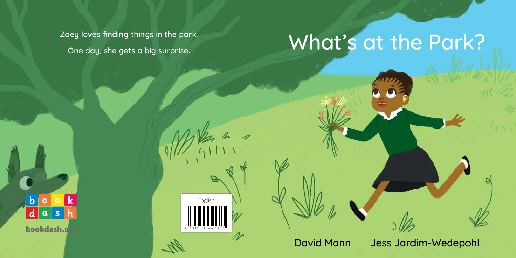# What's at the Park?

David Mann Jess Jardim-Wedepohl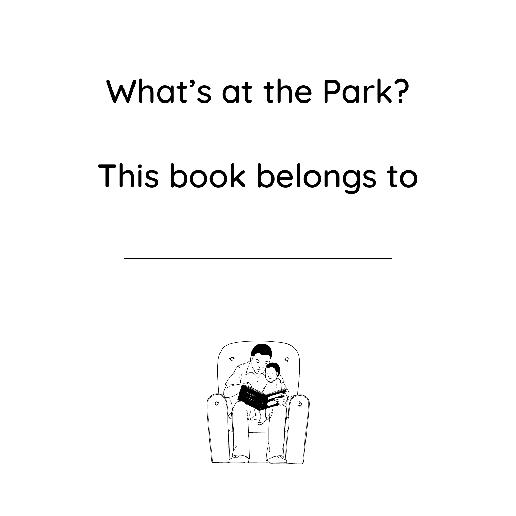### What's at the Park?

# This book belongs to

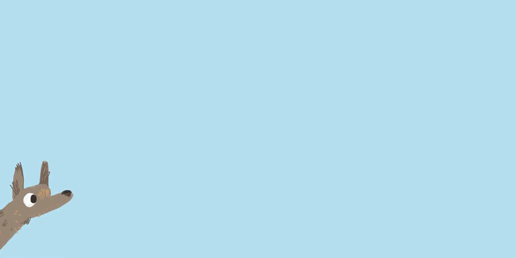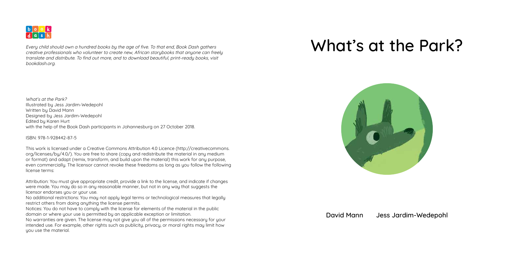

Every child should own a hundred books by the age of five. To that end, Book Dash gathers creative professionals who volunteer to create new, African storybooks that anyone can freely translate and distribute. To find out more, and to download beautiful, print-ready books, visit [bookdash.org](http://bookdash.org).

What's at the Park? Illustrated by Jess Jardim-Wedepohl Written by David Mann Designed by Jess Jardim-Wedepohl Edited by Karen Hurt with the help of the Book Dash participants in Johannesburg on 27 October 2018.

ISBN: 978-1-928442-87-5

This work is licensed under a Creative Commons Attribution 4.0 Licence (http://creativecommons. org/licenses/by/4.0/). You are free to share (copy and redistribute the material in any medium or format) and adapt (remix, transform, and build upon the material) this work for any purpose, even commercially. The licensor cannot revoke these freedoms as long as you follow the following license terms:

Attribution: You must give appropriate credit, provide a link to the license, and indicate if changes were made. You may do so in any reasonable manner, but not in any way that suggests the licensor endorses you or your use.

No additional restrictions: You may not apply legal terms or technological measures that legally restrict others from doing anything the license permits.

Notices: You do not have to comply with the license for elements of the material in the public domain or where your use is permitted by an applicable exception or limitation.

No warranties are given. The license may not give you all of the permissions necessary for your intended use. For example, other rights such as publicity, privacy, or moral rights may limit how you use the material.



# What's at the Park?

David Mann Jess Jardim-Wedepohl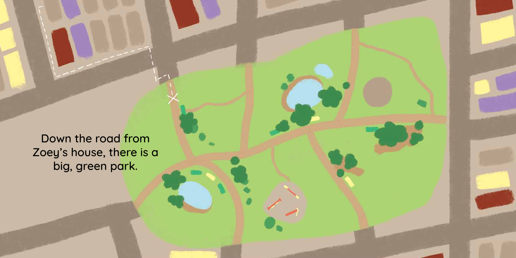Down the road from Zoey's house, there is a big, green park.

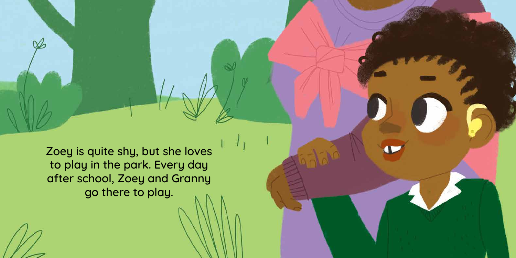Zoey is quite shy, but she loves to play in the park. Every day after school, Zoey and Granny go there to play.

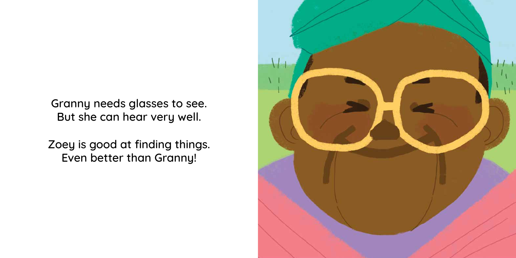Granny needs glasses to see. But she can hear very well.

Zoey is good at finding things. Even better than Granny!

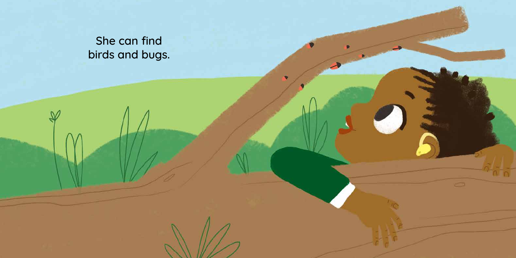#### She can find birds and bugs.

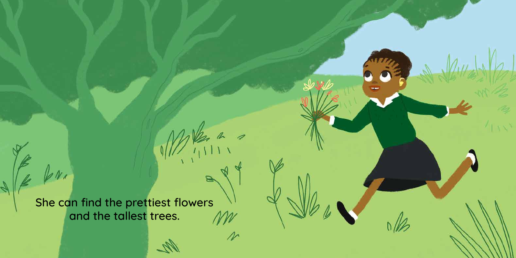She can find the prettiest flowers and the tallest trees.

 $\nu$  v

 $\mathbb Z$ 

 $\mathscr{N}$ 

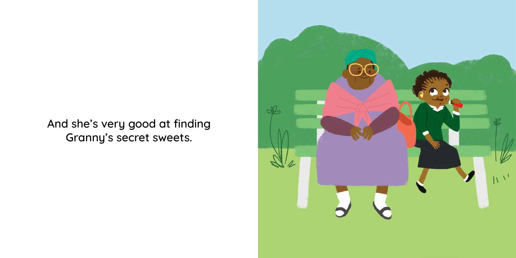And she's very good at finding Granny's secret sweets.

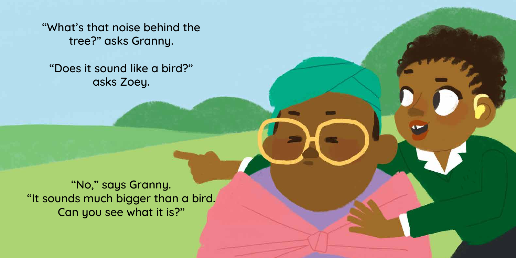"What's that noise behind the tree?" asks Granny.

"Does it sound like a bird?" asks Zoey.

"No," says Granny. "It sounds much bigger than a bird. Can you see what it is?"

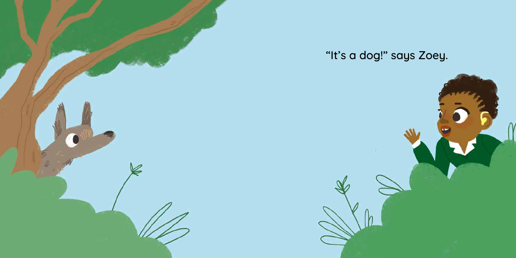

#### "It's a dog!" says Zoey.

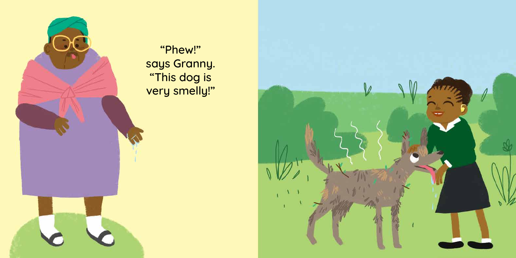

"Phew!" says Granny. "This dog is very smelly!"

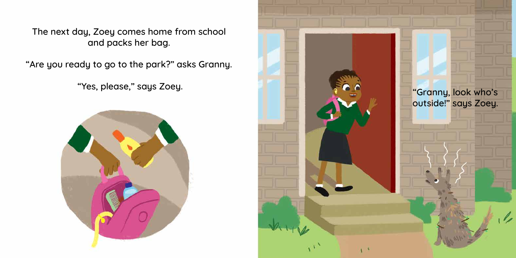The next day, Zoey comes home from school and packs her bag.

"Are you ready to go to the park?" asks Granny.





# outside!" says Zoey.

I.,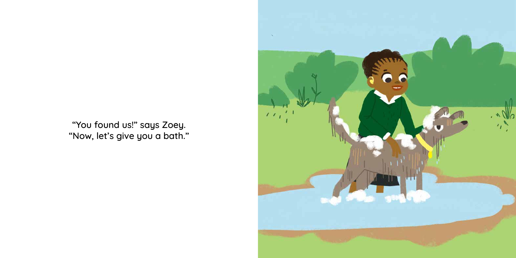"You found us!" says Zoey. "Now, let's give you a bath."

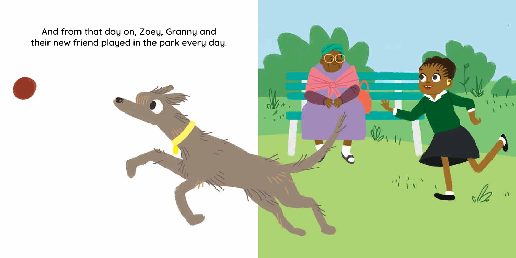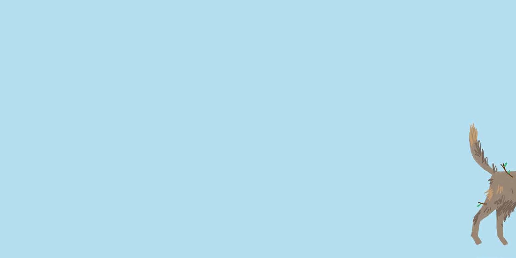